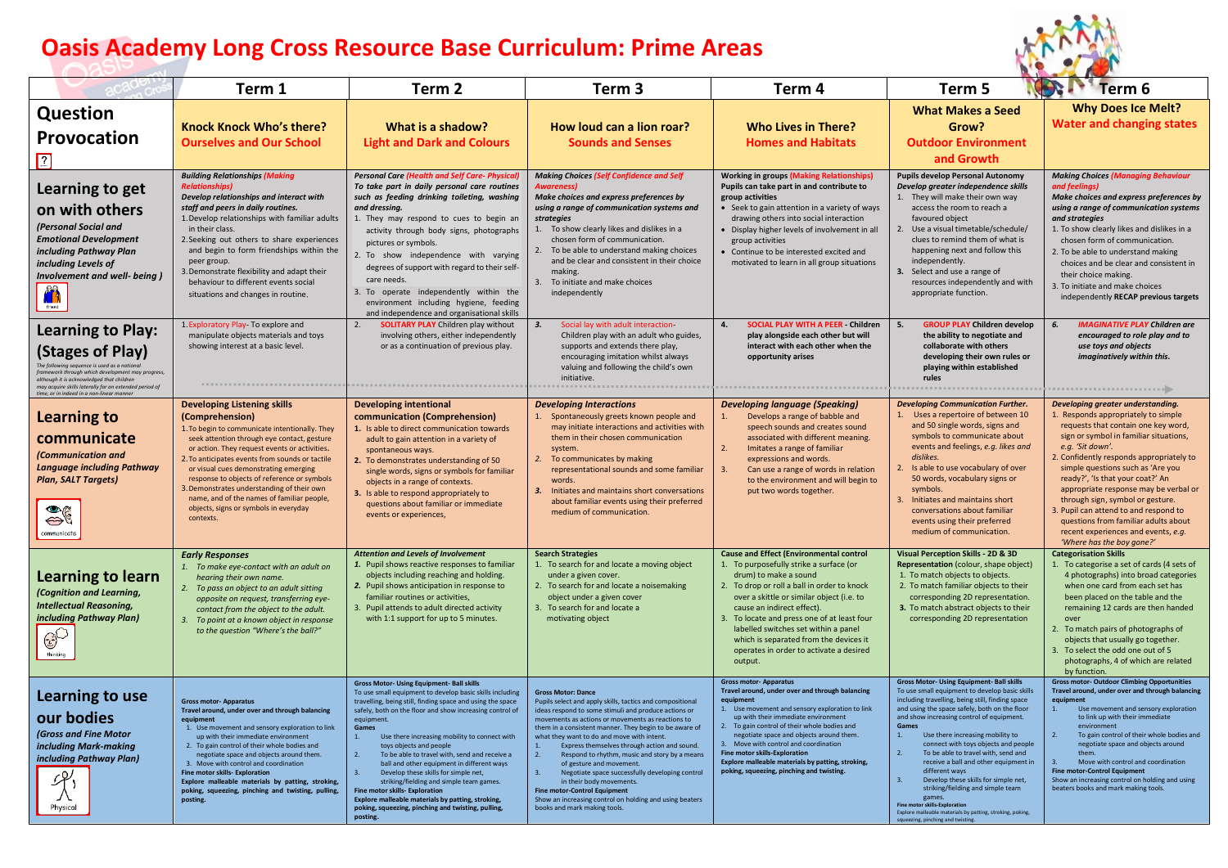## **Oasis Academy Long Cross Resource Base Curriculum: Prime Areas**



|                                                                                                                                                                                                                                                             | Term 1                                                                                                                                                                                                                                                                                                                                                                                                                                                                                               | Term <sub>2</sub>                                                                                                                                                                                                                                                                                                                                                                                                                                                                                                                                                                                                                                                                           | Term 3                                                                                                                                                                                                                                                                                                                                                                                                                                                                                                                                                                                                                                                        | Term 4                                                                                                                                                                                                                                                                                                                                                                                                                                                          | Term 5                                                                                                                                                                                                                                                                                                                                                                                                                                                                                                                                                                                                                                                                                    | Term 6                                                                                                                                                                                                                                                                                                                                                                                                                                                                                                                               |
|-------------------------------------------------------------------------------------------------------------------------------------------------------------------------------------------------------------------------------------------------------------|------------------------------------------------------------------------------------------------------------------------------------------------------------------------------------------------------------------------------------------------------------------------------------------------------------------------------------------------------------------------------------------------------------------------------------------------------------------------------------------------------|---------------------------------------------------------------------------------------------------------------------------------------------------------------------------------------------------------------------------------------------------------------------------------------------------------------------------------------------------------------------------------------------------------------------------------------------------------------------------------------------------------------------------------------------------------------------------------------------------------------------------------------------------------------------------------------------|---------------------------------------------------------------------------------------------------------------------------------------------------------------------------------------------------------------------------------------------------------------------------------------------------------------------------------------------------------------------------------------------------------------------------------------------------------------------------------------------------------------------------------------------------------------------------------------------------------------------------------------------------------------|-----------------------------------------------------------------------------------------------------------------------------------------------------------------------------------------------------------------------------------------------------------------------------------------------------------------------------------------------------------------------------------------------------------------------------------------------------------------|-------------------------------------------------------------------------------------------------------------------------------------------------------------------------------------------------------------------------------------------------------------------------------------------------------------------------------------------------------------------------------------------------------------------------------------------------------------------------------------------------------------------------------------------------------------------------------------------------------------------------------------------------------------------------------------------|--------------------------------------------------------------------------------------------------------------------------------------------------------------------------------------------------------------------------------------------------------------------------------------------------------------------------------------------------------------------------------------------------------------------------------------------------------------------------------------------------------------------------------------|
| Question<br>Provocation<br>$\boxed{2}$                                                                                                                                                                                                                      | <b>Knock Knock Who's there?</b><br><b>Ourselves and Our School</b>                                                                                                                                                                                                                                                                                                                                                                                                                                   | What is a shadow?<br><b>Light and Dark and Colours</b>                                                                                                                                                                                                                                                                                                                                                                                                                                                                                                                                                                                                                                      | How loud can a lion roar?<br><b>Sounds and Senses</b>                                                                                                                                                                                                                                                                                                                                                                                                                                                                                                                                                                                                         | <b>Who Lives in There?</b><br><b>Homes and Habitats</b>                                                                                                                                                                                                                                                                                                                                                                                                         | <b>What Makes a Seed</b><br>Grow?<br><b>Outdoor Environment</b><br>and Growth                                                                                                                                                                                                                                                                                                                                                                                                                                                                                                                                                                                                             | <b>Why Does Ice Melt?</b><br>Water and changing states                                                                                                                                                                                                                                                                                                                                                                                                                                                                               |
| Learning to get<br>on with others<br>(Personal Social and<br><b>Emotional Development</b><br>including Pathway Plan<br>including Levels of<br>Involvement and well- being )<br>$\sum_{\text{final}}$                                                        | <b>Building Relationships (Making</b><br>Develop relationships and interact with<br>staff and peers in daily routines.<br>1. Develop relationships with familiar adults<br>in their class.<br>2. Seeking out others to share experiences<br>and begin to form friendships within the<br>peer group.<br>3. Demonstrate flexibility and adapt their<br>behaviour to different events social<br>situations and changes in routine.                                                                      | <b>Personal Care (Health and Self Care- Physical)</b><br>To take part in daily personal care routines<br>such as feeding drinking toileting, washing<br>and dressing.<br>1. They may respond to cues to begin an<br>activity through body signs, photographs<br>pictures or symbols.<br>2. To show independence with varying<br>degrees of support with regard to their self-<br>care needs<br>3. To operate independently within the<br>environment including hygiene, feeding<br>and independence and organisational skills                                                                                                                                                               | <b>Making Choices (Self Confidence and Self</b><br><b>Awareness</b><br>Make choices and express preferences by<br>using a range of communication systems and<br><b>strategies</b><br>1. To show clearly likes and dislikes in a<br>chosen form of communication.<br>2. To be able to understand making choices<br>and be clear and consistent in their choice<br>making.<br>3. To initiate and make choices<br>independently                                                                                                                                                                                                                                  | <b>Working in groups (Making Relationships)</b><br>Pupils can take part in and contribute to<br>group activities<br>• Seek to gain attention in a variety of ways<br>drawing others into social interaction<br>· Display higher levels of involvement in all<br>group activities<br>• Continue to be interested excited and<br>motivated to learn in all group situations                                                                                       | Pupils develop Personal Autonomy<br>Develop greater independence skills<br>1. They will make their own way<br>access the room to reach a<br>favoured object<br>2. Use a visual timetable/schedule/<br>clues to remind them of what is<br>happening next and follow this<br>independently.<br>3. Select and use a range of<br>resources independently and with<br>appropriate function.                                                                                                                                                                                                                                                                                                    | <b>Making Choices (Managing Behaviour</b><br>and feelings)<br>Make choices and express preferences by<br>using a range of communication systems<br>and strategies<br>1. To show clearly likes and dislikes in a<br>chosen form of communication.<br>2. To be able to understand making<br>choices and be clear and consistent in<br>their choice making.<br>3. To initiate and make choices<br>independently RECAP previous targets                                                                                                  |
| <b>Learning to Play:</b><br>(Stages of Play)<br><b>framework through which development may progress</b><br>although it is acknowledged that children<br>may acquire skills laterally for an extended period of<br>time, or in indeed in a non-linear manner | 1. Exploratory Play- To explore and<br>manipulate objects materials and toys<br>showing interest at a basic level.<br>********************************                                                                                                                                                                                                                                                                                                                                               | <b>SOLITARY PLAY</b> Children play without<br>2.<br>involving others, either independently<br>or as a continuation of previous play.                                                                                                                                                                                                                                                                                                                                                                                                                                                                                                                                                        | Social lay with adult interaction<br>3.<br>Children play with an adult who guides,<br>supports and extends there play,<br>encouraging imitation whilst always<br>valuing and following the child's own<br>initiative.                                                                                                                                                                                                                                                                                                                                                                                                                                         | <b>SOCIAL PLAY WITH A PEER - Children</b><br>4.<br>play alongside each other but will<br>interact with each other when the<br>opportunity arises                                                                                                                                                                                                                                                                                                                | <b>GROUP PLAY Children develop</b><br>5.<br>the ability to negotiate and<br>collaborate with others<br>developing their own rules or<br>playing within established<br>rules                                                                                                                                                                                                                                                                                                                                                                                                                                                                                                               | <b>IMAGINATIVE PLAY Children are</b><br>encouraged to role play and to<br>use toys and objects<br>imaginatively within this.                                                                                                                                                                                                                                                                                                                                                                                                         |
| <b>Learning to</b><br>communicate<br>(Communication and<br><b>Language including Pathway</b><br><b>Plan, SALT Targets)</b><br>$\frac{1}{2}$<br>communicate                                                                                                  | <b>Developing Listening skills</b><br>(Comprehension)<br>1. To begin to communicate intentionally. They<br>seek attention through eye contact, gesture<br>or action. They request events or activities.<br>2. To anticipates events from sounds or tactile<br>or visual cues demonstrating emerging<br>response to objects of reference or symbols<br>3. Demonstrates understanding of their own<br>name, and of the names of familiar people,<br>objects, signs or symbols in everyday<br>contexts. | Developing intentional<br>communication (Comprehension)<br>1. Is able to direct communication towards<br>adult to gain attention in a variety of<br>spontaneous ways.<br>2. To demonstrates understanding of 50<br>single words, signs or symbols for familiar<br>objects in a range of contexts.<br>3. Is able to respond appropriately to<br>questions about familiar or immediate<br>events or experiences,                                                                                                                                                                                                                                                                              | <b>Developing Interactions</b><br>1. Spontaneously greets known people and<br>may initiate interactions and activities with<br>them in their chosen communication<br>system.<br>To communicates by making<br>2.<br>representational sounds and some familiar<br>words.<br>3. Initiates and maintains short conversations<br>about familiar events using their preferred<br>medium of communication                                                                                                                                                                                                                                                            | <b>Developing language (Speaking)</b><br>Develops a range of babble and<br>1.<br>speech sounds and creates sound<br>associated with different meaning.<br>2.<br>Imitates a range of familiar<br>expressions and words.<br>3.<br>Can use a range of words in relation<br>to the environment and will begin to<br>put two words together.                                                                                                                         | <b>Developing Communication Further.</b><br>1. Uses a repertoire of between 10<br>and 50 single words, signs and<br>symbols to communicate about<br>events and feelings, e.g. likes and<br>dislikes.<br>2. Is able to use vocabulary of over<br>50 words, vocabulary signs or<br>symbols<br>3. Initiates and maintains short<br>conversations about familiar<br>events using their preferred<br>medium of communication.                                                                                                                                                                                                                                                                  | Developing greater understanding.<br>1. Responds appropriately to simple<br>requests that contain one key word,<br>sign or symbol in familiar situations,<br>e.g. 'Sit down'.<br>2. Confidently responds appropriately to<br>simple questions such as 'Are you<br>ready?', 'Is that your coat?' An<br>appropriate response may be verbal or<br>through sign, symbol or gesture.<br>3. Pupil can attend to and respond to<br>questions from familiar adults about<br>recent experiences and events, e.g.<br>'Where has the boy gone?' |
| Learning to learn<br>(Cognition and Learning,<br><b>Intellectual Reasoning,</b><br>including Pathway Plan)<br>$-25$<br>thinking                                                                                                                             | <b>Early Responses</b><br>1. To make eye-contact with an adult on<br>hearing their own name.<br>2. To pass an object to an adult sitting<br>opposite on request, transferring eye-<br>contact from the object to the adult.<br>To point at a known object in response<br>to the question "Where's the ball?"                                                                                                                                                                                         | <b>Attention and Levels of Involvement</b><br>1. Pupil shows reactive responses to familiar<br>objects including reaching and holding.<br>2. Pupil shows anticipation in response to<br>familiar routines or activities,<br>3. Pupil attends to adult directed activity<br>with 1:1 support for up to 5 minutes.                                                                                                                                                                                                                                                                                                                                                                            | <b>Search Strategies</b><br>1. To search for and locate a moving object<br>under a given cover.<br>2. To search for and locate a noisemaking<br>object under a given cover<br>3. To search for and locate a<br>motivating object                                                                                                                                                                                                                                                                                                                                                                                                                              | <b>Cause and Effect (Environmental control</b><br>1. To purposefully strike a surface (or<br>drum) to make a sound<br>2. To drop or roll a ball in order to knock<br>over a skittle or similar object (i.e. to<br>cause an indirect effect).<br>3. To locate and press one of at least four<br>labelled switches set within a panel<br>which is separated from the devices it<br>operates in order to activate a desired<br>output.                             | <b>Visual Perception Skills - 2D &amp; 3D</b><br>Representation (colour, shape object)<br>1. To match objects to objects.<br>2. To match familiar objects to their<br>corresponding 2D representation.<br>3. To match abstract objects to their<br>corresponding 2D representation                                                                                                                                                                                                                                                                                                                                                                                                        | <b>Categorisation Skills</b><br>1. To categorise a set of cards (4 sets of<br>4 photographs) into broad categories<br>when one card from each set has<br>been placed on the table and the<br>remaining 12 cards are then handed<br>over<br>2. To match pairs of photographs of<br>objects that usually go together.<br>3. To select the odd one out of 5<br>photographs, 4 of which are related<br>by function.                                                                                                                      |
| Learning to use<br>our bodies<br>(Gross and Fine Motor<br>including Mark-making<br>including Pathway Plan)<br>Л<br>Physical                                                                                                                                 | <b>Gross motor-Apparatus</b><br>Travel around, under over and through balancing<br>equipment<br>1. Use movement and sensory exploration to link<br>up with their immediate environment<br>2. To gain control of their whole bodies and<br>negotiate space and objects around them.<br>3. Move with control and coordination<br>Fine motor skills- Exploration<br>Explore malleable materials by patting, stroking,<br>poking, squeezing, pinching and twisting, pulling,<br>posting.                 | <b>Gross Motor- Using Equipment- Ball skills</b><br>To use small equipment to develop basic skills including<br>travelling, being still, finding space and using the space<br>safely, both on the floor and show increasing control of<br>equipment.<br>Games<br>Use there increasing mobility to connect with<br>toys objects and people<br>To be able to travel with, send and receive a<br>2.<br>ball and other equipment in different ways<br>Develop these skills for simple net,<br>striking/fielding and simple team games.<br>Fine motor skills- Exploration<br>Explore malleable materials by patting, stroking,<br>poking, squeezing, pinching and twisting, pulling,<br>posting. | <b>Gross Motor: Dance</b><br>Pupils select and apply skills, tactics and compositional<br>ideas respond to some stimuli and produce actions or<br>movements as actions or movements as reactions to<br>them in a consistent manner. They begin to be aware of<br>what they want to do and move with intent<br>Express themselves through action and sound.<br>2.<br>Respond to rhythm, music and story by a means<br>of gesture and movement<br>Negotiate space successfully developing control<br>in their body movements.<br><b>Fine motor-Control Equipment</b><br>Show an increasing control on holding and using beaters<br>books and mark making tools. | <b>Gross motor- Apparatus</b><br>Travel around, under over and through balancing<br>equipment<br>1. Use movement and sensory exploration to link<br>up with their immediate environment<br>2. To gain control of their whole bodies and<br>negotiate space and objects around them.<br>3. Move with control and coordination<br>Fine motor skills-Exploration<br>Explore malleable materials by patting, stroking,<br>poking, squeezing, pinching and twisting. | <b>Gross Motor- Using Equipment- Ball skills</b><br>To use small equipment to develop basic skills<br>including travelling, being still, finding space<br>and using the space safely, both on the floor<br>and show increasing control of equipment.<br>Games<br>1.<br>Use there increasing mobility to<br>connect with toys objects and people<br>2.<br>To be able to travel with, send and<br>receive a ball and other equipment in<br>different ways<br>3.<br>Develop these skills for simple net,<br>striking/fielding and simple team<br>games.<br><b>Fine motor skills-Exploration</b><br>Explore malleable materials by patting, stroking, poking,<br>ezing, pinching and twisting | <b>Gross motor- Outdoor Climbing Opportunities</b><br>Travel around, under over and through balancing<br>equipment<br>Use movement and sensory exploration<br>to link up with their immediate<br>environment<br>To gain control of their whole bodies and<br>negotiate space and objects around<br>them.<br>Move with control and coordination<br><b>Fine motor-Control Equipment</b><br>Show an increasing control on holding and using<br>beaters books and mark making tools.                                                     |